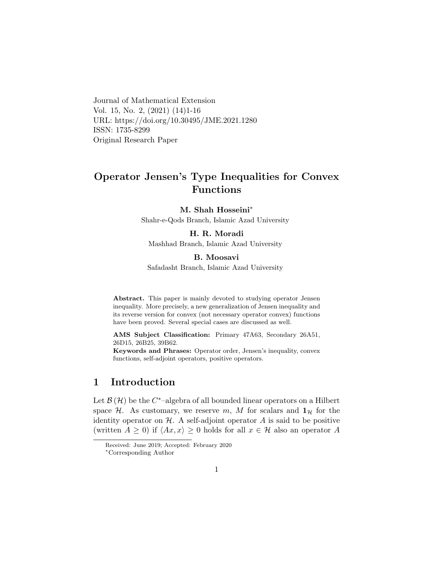Journal of Mathematical Extension Vol. 15, No. 2, (2021) (14)1-16 URL: https://doi.org/10.30495/JME.2021.1280 ISSN: 1735-8299 Original Research Paper

# Operator Jensen's Type Inequalities for Convex Functions

#### M. Shah Hosseini<sup>\*</sup>

Shahr-e-Qods Branch, Islamic Azad University

### H. R. Moradi

Mashhad Branch, Islamic Azad University

### B. Moosav[i](#page-0-0)

Safadasht Branch, Islamic Azad University

Abstract. This paper is mainly devoted to studying operator Jensen inequality. More precisely, a new generalization of Jensen inequality and its reverse version for convex (not necessary operator convex) functions have been proved. Several special cases are discussed as well.

AMS Subject Classification: Primary 47A63, Secondary 26A51, 26D15, 26B25, 39B62.

Keywords and Phrases: Operator order, Jensen's inequality, convex functions, self-adjoint operators, positive operators.

## 1 Introduction

Let  $\mathcal{B}(\mathcal{H})$  be the C<sup>\*</sup>-algebra of all bounded linear operators on a Hilbert space H. As customary, we reserve m, M for scalars and  $1<sub>H</sub>$  for the identity operator on  $H$ . A self-adjoint operator A is said to be positive (written  $A \geq 0$ ) if  $\langle Ax, x \rangle \geq 0$  holds for all  $x \in \mathcal{H}$  also an operator A

Received: June 2019; Accepted: February 2020

<span id="page-0-0"></span><sup>∗</sup>Corresponding Author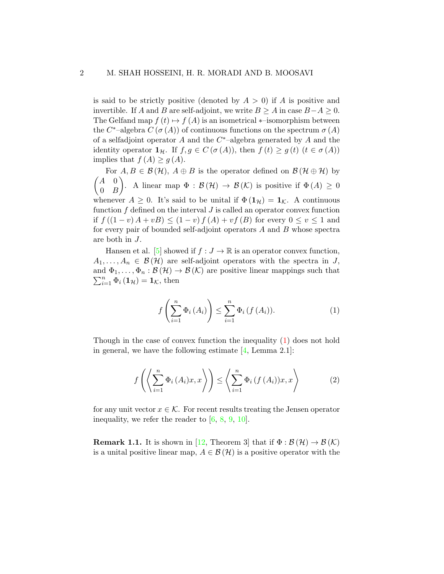is said to be strictly positive (denoted by  $A > 0$ ) if A is positive and invertible. If A and B are self-adjoint, we write  $B \geq A$  in case  $B-A \geq 0$ . The Gelfand map  $f(t) \mapsto f(A)$  is an isometrical  $*$ –isomorphism between the  $C^*$ -algebra  $C(\sigma(A))$  of continuous functions on the spectrum  $\sigma(A)$ of a selfadjoint operator  $A$  and the  $C^*$ -algebra generated by  $A$  and the identity operator  $\mathbf{1}_{\mathcal{H}}$ . If  $f, g \in C(\sigma(A))$ , then  $f(t) \geq g(t)$   $(t \in \sigma(A))$ implies that  $f(A) \geq g(A)$ .

For  $A, B \in \mathcal{B}(\mathcal{H})$ ,  $A \oplus B$  is the operator defined on  $\mathcal{B}(\mathcal{H} \oplus \mathcal{H})$  by  $\begin{pmatrix} A & 0 \end{pmatrix}$  $0 \quad B$ ). A linear map  $\Phi : \mathcal{B}(\mathcal{H}) \to \mathcal{B}(\mathcal{K})$  is positive if  $\Phi(A) \geq 0$ whenever  $A \geq 0$ . It's said to be unital if  $\Phi(\mathbf{1}_{\mathcal{H}}) = \mathbf{1}_{\mathcal{K}}$ . A continuous function  $f$  defined on the interval  $J$  is called an operator convex function if  $f((1-v)A + vB) \le (1-v)f(A) + vf(B)$  for every  $0 \le v \le 1$  and for every pair of bounded self-adjoint operators A and B whose spectra are both in J.

Hansen et al. [\[5\]](#page-13-0) showed if  $f : J \to \mathbb{R}$  is an operator convex function,  $A_1, \ldots, A_n \in \mathcal{B}(\mathcal{H})$  are self-adjoint operators with the spectra in J,  $\sum_{i=1}^{n} \Phi_i (\mathbf{1}_{\mathcal{H}}) = \mathbf{1}_{\mathcal{K}}$ , then and  $\Phi_1, \ldots, \Phi_n : \mathcal{B}(\mathcal{H}) \to \mathcal{B}(\mathcal{K})$  are positive linear mappings such that

<span id="page-1-0"></span>
$$
f\left(\sum_{i=1}^{n} \Phi_{i}\left(A_{i}\right)\right) \leq \sum_{i=1}^{n} \Phi_{i}\left(f\left(A_{i}\right)\right).
$$
 (1)

Though in the case of convex function the inequality [\(1\)](#page-1-0) does not hold in general, we have the following estimate  $[4, \text{Lemma } 2.1]$  $[4, \text{Lemma } 2.1]$ :

<span id="page-1-1"></span>
$$
f\left(\left\langle \sum_{i=1}^{n} \Phi_i\left(A_i\right)x, x\right\rangle\right) \leq \left\langle \sum_{i=1}^{n} \Phi_i\left(f\left(A_i\right)\right)x, x\right\rangle \tag{2}
$$

for any unit vector  $x \in \mathcal{K}$ . For recent results treating the Jensen operator inequality, we refer the reader to  $[6, 8, 9, 10]$  $[6, 8, 9, 10]$  $[6, 8, 9, 10]$  $[6, 8, 9, 10]$  $[6, 8, 9, 10]$  $[6, 8, 9, 10]$  $[6, 8, 9, 10]$ .

**Remark 1.1.** It is shown in [\[12,](#page-14-3) Theorem 3] that if  $\Phi : \mathcal{B}(\mathcal{H}) \to \mathcal{B}(\mathcal{K})$ is a unital positive linear map,  $A \in \mathcal{B}(\mathcal{H})$  is a positive operator with the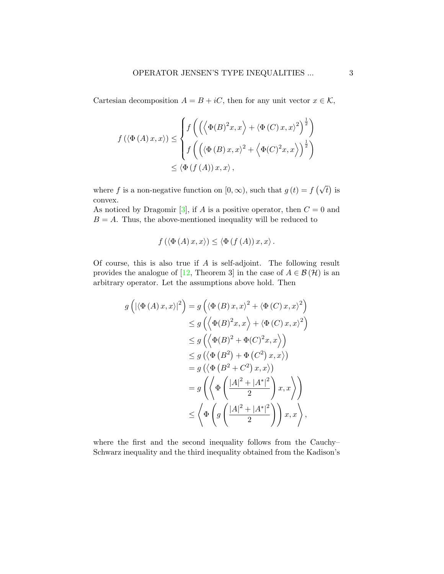Cartesian decomposition  $A = B + iC$ , then for any unit vector  $x \in \mathcal{K}$ ,

$$
f(\langle \Phi(A)x, x \rangle) \leq \begin{cases} f\left(\left(\langle \Phi(B)^2 x, x \rangle + \langle \Phi(C)x, x \rangle^2\right)^{\frac{1}{2}}\right) \\ f\left(\left(\langle \Phi(B)x, x \rangle^2 + \langle \Phi(C)^2 x, x \rangle\right)^{\frac{1}{2}}\right) \\ \leq \langle \Phi(f(A))x, x \rangle, \end{cases}
$$

where f is a non-negative function on  $[0, \infty)$ , such that  $g(t) = f(\sqrt{t})$  is convex.

As noticed by Dragomir [\[3\]](#page-13-3), if A is a positive operator, then  $C = 0$  and  $B = A$ . Thus, the above-mentioned inequality will be reduced to

$$
f\left(\langle \Phi\left(A\right)x,x\rangle\right) \leq \langle \Phi\left(f\left(A\right)\right)x,x\rangle.
$$

Of course, this is also true if  $A$  is self-adjoint. The following result provides the analogue of [\[12,](#page-14-3) Theorem 3] in the case of  $A \in \mathcal{B}(\mathcal{H})$  is an arbitrary operator. Let the assumptions above hold. Then

$$
g\left(\left|\langle \Phi\left(A\right)x,x\rangle\right|^{2}\right) = g\left(\langle \Phi\left(B\right)x,x\rangle^{2} + \langle \Phi\left(C\right)x,x\rangle^{2}\right)
$$
  
\n
$$
\leq g\left(\langle \Phi(B)^{2}x,x\rangle + \langle \Phi\left(C\right)x,x\rangle^{2}\right)
$$
  
\n
$$
\leq g\left(\langle \Phi(B)^{2} + \Phi(C)^{2}x,x\rangle\right)
$$
  
\n
$$
\leq g\left(\langle \Phi\left(B^{2}\right) + \Phi\left(C^{2}\right)x,x\rangle\right)
$$
  
\n
$$
= g\left(\langle \Phi\left(B^{2} + C^{2}\right)x,x\rangle\right)
$$
  
\n
$$
= g\left(\langle \Phi\left(\frac{|A|^{2} + |A^{*}|^{2}}{2}\right)x,x\rangle\right)
$$
  
\n
$$
\leq \langle \Phi\left(g\left(\frac{|A|^{2} + |A^{*}|^{2}}{2}\right))x,x\rangle\right),
$$

where the first and the second inequality follows from the Cauchy– Schwarz inequality and the third inequality obtained from the Kadison's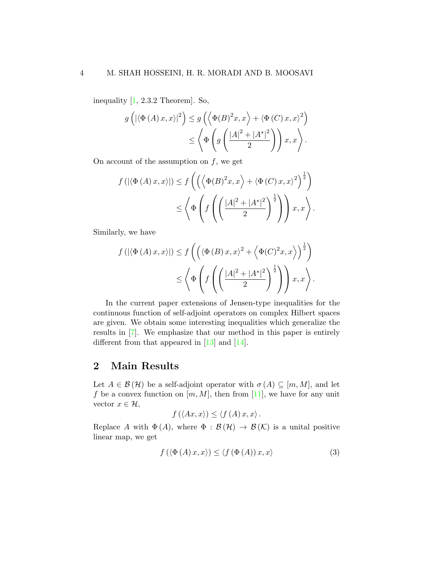inequality [\[1,](#page-13-4) 2.3.2 Theorem]. So,

$$
g\left(\left|\langle \Phi\left(A\right)x,x\rangle\right|^2\right) \le g\left(\left\langle \Phi(B)^2x,x\right\rangle+\left\langle \Phi\left(C\right)x,x\right\rangle^2\right) \le \left\langle \Phi\left(g\left(\frac{\left|A\right|^2+\left|A^*\right|^2}{2}\right)\right)x,x\right\rangle.
$$

On account of the assumption on  $f$ , we get

$$
f(|\langle \Phi(A)x, x \rangle|) \le f\left(\left(\left\langle \Phi(B)^2x, x\right\rangle + \left\langle \Phi(C)x, x\right\rangle^2\right)^{\frac{1}{2}}\right) \le \left\langle \Phi\left(f\left(\left(\frac{|A|^2 + |A^*|^2}{2}\right)^{\frac{1}{2}}\right)\right)x, x\right\rangle.
$$

Similarly, we have

$$
f(|\langle \Phi(A)x, x \rangle|) \le f\left(\left(\langle \Phi(B)x, x \rangle^2 + \langle \Phi(C)^2 x, x \rangle\right)^{\frac{1}{2}}\right) \le \left\langle \Phi\left(f\left(\frac{|A|^2 + |A^*|^2}{2}\right)^{\frac{1}{2}}\right)\right)x, x \right\rangle.
$$

In the current paper extensions of Jensen-type inequalities for the continuous function of self-adjoint operators on complex Hilbert spaces are given. We obtain some interesting inequalities which generalize the results in [\[7\]](#page-13-5). We emphasize that our method in this paper is entirely different from that appeared in [\[13\]](#page-14-4) and [\[14\]](#page-14-5).

## 2 Main Results

Let  $A \in \mathcal{B}(\mathcal{H})$  be a self-adjoint operator with  $\sigma(A) \subseteq [m, M]$ , and let f be a convex function on  $[m, M]$ , then from [\[11\]](#page-14-6), we have for any unit vector  $x \in \mathcal{H}$ ,

$$
f(\langle Ax, x \rangle) \leq \langle f(A) x, x \rangle.
$$

Replace A with  $\Phi(A)$ , where  $\Phi : \mathcal{B}(\mathcal{H}) \to \mathcal{B}(\mathcal{K})$  is a unital positive linear map, we get

<span id="page-3-0"></span>
$$
f\left(\langle \Phi\left(A\right)x,x\rangle\right) \leq \langle f\left(\Phi\left(A\right)\right)x,x\rangle\tag{3}
$$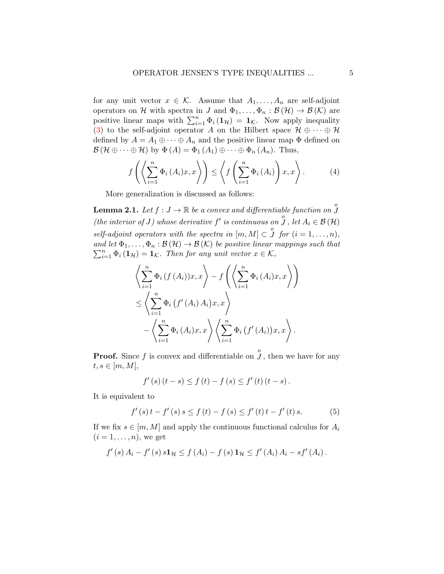for any unit vector  $x \in \mathcal{K}$ . Assume that  $A_1, \ldots, A_n$  are self-adjoint operators on H with spectra in J and  $\Phi_1, \ldots, \Phi_n : \mathcal{B}(\mathcal{H}) \to \mathcal{B}(\mathcal{K})$  are positive linear maps with  $\sum_{i=1}^{n} \Phi_i(\mathbf{1}_{\mathcal{H}}) = \mathbf{1}_{\mathcal{K}}$ . Now apply inequality [\(3\)](#page-3-0) to the self-adjoint operator A on the Hilbert space  $\mathcal{H} \oplus \cdots \oplus \mathcal{H}$ defined by  $A = A_1 \oplus \cdots \oplus A_n$  and the positive linear map  $\Phi$  defined on  $\mathcal{B}(\mathcal{H} \oplus \cdots \oplus \mathcal{H})$  by  $\Phi(A) = \Phi_1(A_1) \oplus \cdots \oplus \Phi_n(A_n)$ . Thus,

<span id="page-4-1"></span>
$$
f\left(\left\langle \sum_{i=1}^{n} \Phi_i\left(A_i\right)x, x\right\rangle\right) \leq \left\langle f\left(\sum_{i=1}^{n} \Phi_i\left(A_i\right)\right)x, x\right\rangle. \tag{4}
$$

More generalization is discussed as follows:

<span id="page-4-0"></span>**Lemma 2.1.** Let  $f: J \to \mathbb{R}$  be a convex and differentiable function on  $\overset{o}{J}$ (the interior of J) whose derivative  $f'$  is continuous on  $\overline{\overset{o}{J}}$ , let  $A_i \in \mathcal{B}(\mathcal{H})$ self-adjoint operators with the spectra in  $[m, M] \subset \overset{o}{J}$  for  $(i = 1, ..., n)$ , and let  $\Phi_1,\ldots,\Phi_n:\mathcal{B}(\mathcal{H})\to\mathcal{B}(\mathcal{K})$  be positive linear mappings such that  $\sum_{i=1}^{n} \Phi_i(\mathbf{1}_{\mathcal{H}}) = \mathbf{1}_{\mathcal{K}}$ . Then for any unit vector  $x \in \mathcal{K}$ ,

$$
\left\langle \sum_{i=1}^{n} \Phi_i(f(A_i))x, x \right\rangle - f\left(\left\langle \sum_{i=1}^{n} \Phi_i(A_i)x, x \right\rangle\right)
$$
  

$$
\leq \left\langle \sum_{i=1}^{n} \Phi_i(f'(A_i) A_i)x, x \right\rangle
$$

$$
-\left\langle \sum_{i=1}^{n} \Phi_i(A_i)x, x \right\rangle \left\langle \sum_{i=1}^{n} \Phi_i(f'(A_i))x, x \right\rangle.
$$

**Proof.** Since f is convex and differentiable on  $\overset{o}{J}$ , then we have for any  $t, s \in [m, M],$ 

$$
f'(s) (t - s) \le f(t) - f(s) \le f'(t) (t - s).
$$

It is equivalent to

<span id="page-4-2"></span>
$$
f'(s) t - f'(s) s \le f(t) - f(s) \le f'(t) t - f'(t) s.
$$
 (5)

If we fix  $s \in [m, M]$  and apply the continuous functional calculus for  $A_i$  $(i = 1, \ldots, n)$ , we get

$$
f'(s) A_i - f'(s) s \mathbf{1}_{\mathcal{H}} \leq f(A_i) - f(s) \mathbf{1}_{\mathcal{H}} \leq f'(A_i) A_i - s f'(A_i).
$$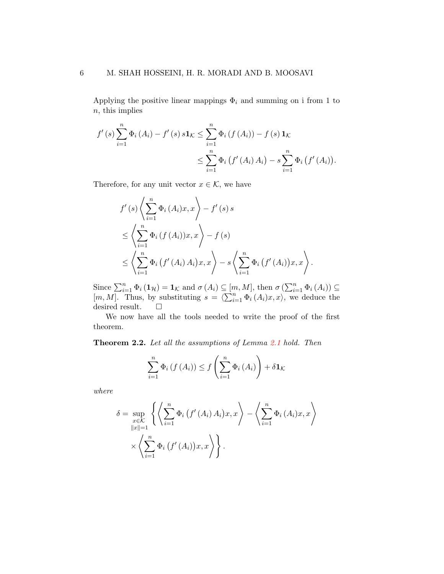Applying the positive linear mappings  $\Phi_i$  and summing on i from 1 to  $n$ , this implies

$$
f'(s) \sum_{i=1}^{n} \Phi_i(A_i) - f'(s) s \mathbf{1}_{\mathcal{K}} \leq \sum_{i=1}^{n} \Phi_i(f(A_i)) - f(s) \mathbf{1}_{\mathcal{K}}
$$
  

$$
\leq \sum_{i=1}^{n} \Phi_i(f'(A_i) A_i) - s \sum_{i=1}^{n} \Phi_i(f'(A_i)).
$$

Therefore, for any unit vector  $x \in \mathcal{K}$ , we have

$$
f'(s) \left\langle \sum_{i=1}^{n} \Phi_i (A_i) x, x \right\rangle - f'(s) s
$$
  
\n
$$
\leq \left\langle \sum_{i=1}^{n} \Phi_i (f(A_i)) x, x \right\rangle - f(s)
$$
  
\n
$$
\leq \left\langle \sum_{i=1}^{n} \Phi_i (f'(A_i) A_i) x, x \right\rangle - s \left\langle \sum_{i=1}^{n} \Phi_i (f'(A_i)) x, x \right\rangle.
$$

Since  $\sum_{i=1}^{n} \Phi_i (\mathbf{1}_{\mathcal{H}}) = \mathbf{1}_{\mathcal{K}}$  and  $\sigma(A_i) \subseteq [m, M]$ , then  $\sigma(\sum_{i=1}^{n} \Phi_i(A_i)) \subseteq$  $[m, M]$ . Thus, by substituting  $s = \langle \sum_{i=1}^{n} \Phi_i (A_i)x, x \rangle$ , we deduce the desired result.  $\quad \ \ \Box$ 

We now have all the tools needed to write the proof of the first theorem.

<span id="page-5-0"></span>Theorem 2.2. Let all the assumptions of Lemma [2.1](#page-4-0) hold. Then

$$
\sum_{i=1}^{n} \Phi_{i} \left( f \left( A_{i} \right) \right) \leq f \left( \sum_{i=1}^{n} \Phi_{i} \left( A_{i} \right) \right) + \delta \mathbf{1}_{\mathcal{K}}
$$

where

$$
\delta = \sup_{\substack{x \in \mathcal{K} \\ ||x|| = 1}} \left\{ \left\langle \sum_{i=1}^n \Phi_i \left( f'(A_i) A_i \right) x, x \right\rangle - \left\langle \sum_{i=1}^n \Phi_i \left( A_i \right) x, x \right\rangle \right\} \\ \times \left\langle \sum_{i=1}^n \Phi_i \left( f'(A_i) \right) x, x \right\rangle \right\}.
$$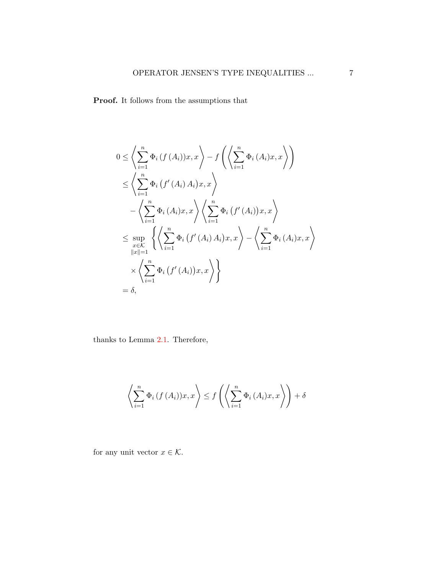Proof. It follows from the assumptions that

$$
0 \leq \left\langle \sum_{i=1}^{n} \Phi_i(f(A_i))x, x \right\rangle - f\left(\left\langle \sum_{i=1}^{n} \Phi_i(A_i)x, x \right\rangle\right)
$$
  
\n
$$
\leq \left\langle \sum_{i=1}^{n} \Phi_i(f'(A_i) A_i)x, x \right\rangle
$$
  
\n
$$
-\left\langle \sum_{i=1}^{n} \Phi_i(A_i)x, x \right\rangle \left\langle \sum_{i=1}^{n} \Phi_i(f'(A_i))x, x \right\rangle
$$
  
\n
$$
\leq \sup_{\substack{x \in \mathcal{K} \\ \|x\|=1}} \left\langle \left\langle \sum_{i=1}^{n} \Phi_i(f'(A_i) A_i)x, x \right\rangle - \left\langle \sum_{i=1}^{n} \Phi_i(A_i)x, x \right\rangle \right.
$$
  
\n
$$
\times \left\langle \sum_{i=1}^{n} \Phi_i(f'(A_i))x, x \right\rangle \right\}
$$
  
\n
$$
= \delta,
$$

thanks to Lemma [2.1.](#page-4-0) Therefore,

$$
\left\langle \sum_{i=1}^{n} \Phi_i \left( f \left( A_i \right) \right) x, x \right\rangle \leq f \left( \left\langle \sum_{i=1}^{n} \Phi_i \left( A_i \right) x, x \right\rangle \right) + \delta
$$

for any unit vector  $x \in \mathcal{K}$ .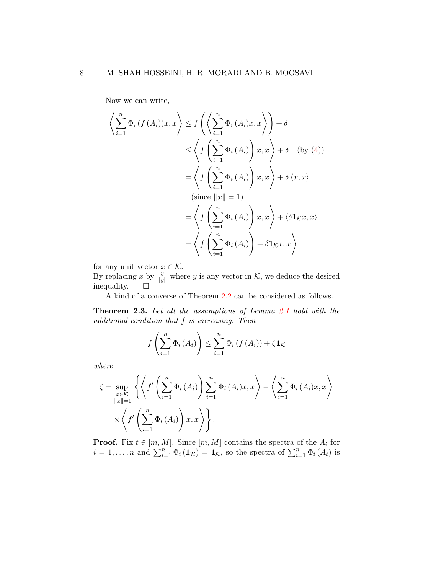Now we can write,

$$
\left\langle \sum_{i=1}^{n} \Phi_{i} \left( f \left( A_{i} \right) \right) x, x \right\rangle \leq f \left( \left\langle \sum_{i=1}^{n} \Phi_{i} \left( A_{i} \right) x, x \right\rangle \right) + \delta
$$
\n
$$
\leq \left\langle f \left( \sum_{i=1}^{n} \Phi_{i} \left( A_{i} \right) \right) x, x \right\rangle + \delta \quad \text{(by (4))}
$$
\n
$$
= \left\langle f \left( \sum_{i=1}^{n} \Phi_{i} \left( A_{i} \right) \right) x, x \right\rangle + \delta \left\langle x, x \right\rangle
$$
\n
$$
\left( \text{since } ||x|| = 1 \right)
$$
\n
$$
= \left\langle f \left( \sum_{i=1}^{n} \Phi_{i} \left( A_{i} \right) \right) x, x \right\rangle + \left\langle \delta \mathbf{1}_{\mathcal{K}} x, x \right\rangle
$$
\n
$$
= \left\langle f \left( \sum_{i=1}^{n} \Phi_{i} \left( A_{i} \right) \right) + \delta \mathbf{1}_{\mathcal{K}} x, x \right\rangle
$$

for any unit vector  $x \in \mathcal{K}$ .

By replacing x by  $\frac{y}{\|y\|}$  where y is any vector in K, we deduce the desired inequality.  $\square$ 

A kind of a converse of Theorem [2.2](#page-5-0) can be considered as follows.

<span id="page-7-0"></span>Theorem 2.3. Let all the assumptions of Lemma [2.1](#page-4-0) hold with the additional condition that f is increasing. Then

$$
f\left(\sum_{i=1}^{n} \Phi_{i}\left(A_{i}\right)\right) \leq \sum_{i=1}^{n} \Phi_{i}\left(f\left(A_{i}\right)\right) + \zeta \mathbf{1}_{\mathcal{K}}
$$

where

$$
\zeta = \sup_{\substack{x \in \mathcal{K} \\ \|x\|=1}} \left\{ \left\langle f' \left( \sum_{i=1}^n \Phi_i (A_i) \right) \sum_{i=1}^n \Phi_i (A_i) x, x \right\rangle - \left\langle \sum_{i=1}^n \Phi_i (A_i) x, x \right\rangle \right\} \\ \times \left\langle f' \left( \sum_{i=1}^n \Phi_i (A_i) \right) x, x \right\rangle \right\}.
$$

**Proof.** Fix  $t \in [m, M]$ . Since  $[m, M]$  contains the spectra of the  $A_i$  for  $i = 1, \ldots, n$  and  $\sum_{i=1}^{n} \Phi_i(\mathbf{1}_{\mathcal{H}}) = \mathbf{1}_{\mathcal{K}}$ , so the spectra of  $\sum_{i=1}^{n} \Phi_i(A_i)$  is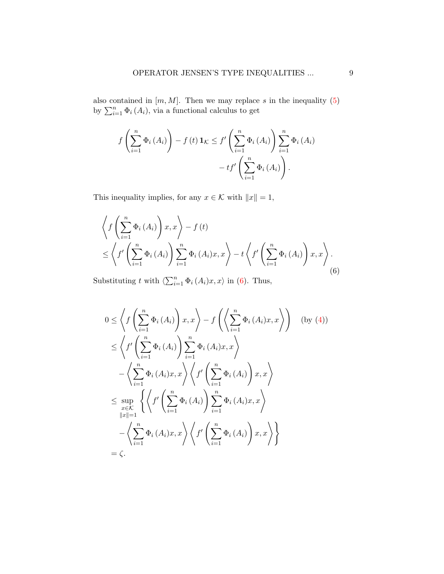also contained in  $[m, M]$ . Then we may replace s in the inequality [\(5\)](#page-4-2) by  $\sum_{i=1}^{n} \Phi_i(A_i)$ , via a functional calculus to get

$$
f\left(\sum_{i=1}^{n} \Phi_{i}\left(A_{i}\right)\right) - f\left(t\right) \mathbf{1}_{\mathcal{K}} \leq f'\left(\sum_{i=1}^{n} \Phi_{i}\left(A_{i}\right)\right) \sum_{i=1}^{n} \Phi_{i}\left(A_{i}\right) - tf'\left(\sum_{i=1}^{n} \Phi_{i}\left(A_{i}\right)\right).
$$

This inequality implies, for any  $x \in \mathcal{K}$  with  $\|x\| = 1,$ 

<span id="page-8-0"></span>
$$
\left\langle f\left(\sum_{i=1}^{n} \Phi_{i}\left(A_{i}\right)\right) x, x\right\rangle - f\left(t\right) \leq \left\langle f'\left(\sum_{i=1}^{n} \Phi_{i}\left(A_{i}\right)\right) \sum_{i=1}^{n} \Phi_{i}\left(A_{i}\right) x, x\right\rangle - t \left\langle f'\left(\sum_{i=1}^{n} \Phi_{i}\left(A_{i}\right)\right) x, x\right\rangle . \tag{6}
$$

Substituting t with  $\langle \sum_{i=1}^n \Phi_i (A_i)x, x \rangle$  in [\(6\)](#page-8-0). Thus,

$$
0 \leq \left\langle f\left(\sum_{i=1}^{n} \Phi_{i}\left(A_{i}\right)\right) x, x\right\rangle - f\left(\left\langle \sum_{i=1}^{n} \Phi_{i}\left(A_{i}\right) x, x\right\rangle\right) \quad \text{(by (4))}
$$
\n
$$
\leq \left\langle f'\left(\sum_{i=1}^{n} \Phi_{i}\left(A_{i}\right)\right) \sum_{i=1}^{n} \Phi_{i}\left(A_{i}\right) x, x\right\rangle
$$
\n
$$
-\left\langle \sum_{i=1}^{n} \Phi_{i}\left(A_{i}\right) x, x\right\rangle \left\langle f'\left(\sum_{i=1}^{n} \Phi_{i}\left(A_{i}\right)\right) x, x\right\rangle
$$
\n
$$
\leq \sup_{x \in K} \left\{ \left\langle f'\left(\sum_{i=1}^{n} \Phi_{i}\left(A_{i}\right)\right) \sum_{i=1}^{n} \Phi_{i}\left(A_{i}\right) x, x\right\rangle
$$
\n
$$
-\left\langle \sum_{i=1}^{n} \Phi_{i}\left(A_{i}\right) x, x\right\rangle \left\langle f'\left(\sum_{i=1}^{n} \Phi_{i}\left(A_{i}\right)\right) x, x\right\rangle \right\}
$$
\n
$$
= \zeta.
$$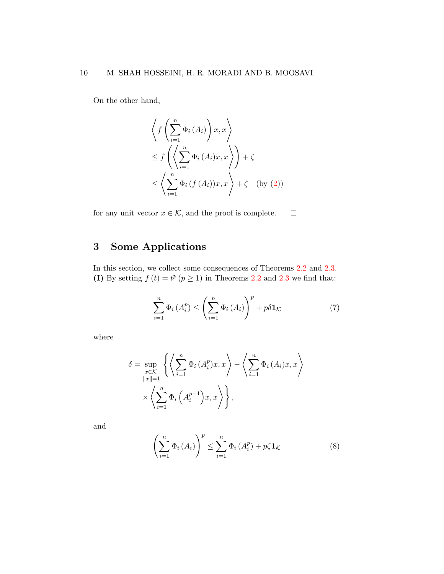On the other hand,

$$
\left\langle f\left(\sum_{i=1}^{n} \Phi_i(A_i)\right) x, x \right\rangle
$$
  
\n
$$
\leq f\left(\left\langle \sum_{i=1}^{n} \Phi_i(A_i) x, x \right\rangle \right) + \zeta
$$
  
\n
$$
\leq \left\langle \sum_{i=1}^{n} \Phi_i(f(A_i)) x, x \right\rangle + \zeta \quad \text{(by (2))}
$$

for any unit vector  $x \in \mathcal{K}$ , and the proof is complete.  $\Box$ 

# 3 Some Applications

In this section, we collect some consequences of Theorems [2.2](#page-5-0) and [2.3.](#page-7-0) (I) By setting  $f(t) = t^p (p \ge 1)$  in Theorems [2.2](#page-5-0) and [2.3](#page-7-0) we find that:

<span id="page-9-0"></span>
$$
\sum_{i=1}^{n} \Phi_i (A_i^p) \le \left(\sum_{i=1}^{n} \Phi_i (A_i)\right)^p + p \delta \mathbf{1}_{\mathcal{K}}
$$
 (7)

where

$$
\delta = \sup_{\substack{x \in \mathcal{K} \\ \|x\|=1}} \left\{ \left\langle \sum_{i=1}^n \Phi_i (A_i^p) x, x \right\rangle - \left\langle \sum_{i=1}^n \Phi_i (A_i) x, x \right\rangle \right\}
$$

$$
\times \left\langle \sum_{i=1}^n \Phi_i \left( A_i^{p-1} \right) x, x \right\rangle \right\},
$$

and

<span id="page-9-1"></span>
$$
\left(\sum_{i=1}^{n} \Phi_{i}\left(A_{i}\right)\right)^{p} \leq \sum_{i=1}^{n} \Phi_{i}\left(A_{i}^{p}\right) + p\zeta \mathbf{1}_{\mathcal{K}} \tag{8}
$$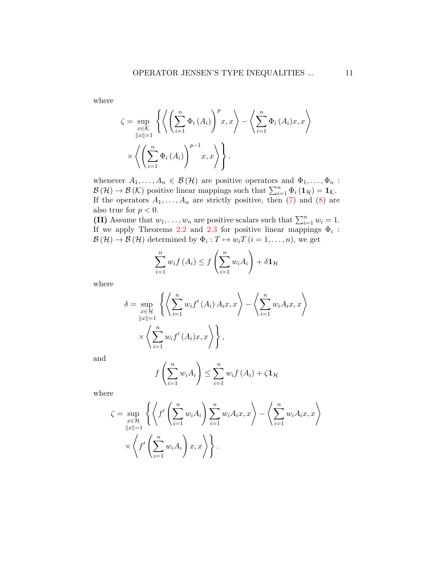where

$$
\zeta = \sup_{\substack{x \in \mathcal{K} \\ \|x\|=1}} \left\{ \left\langle \left( \sum_{i=1}^n \Phi_i (A_i) \right)^p x, x \right\rangle - \left\langle \sum_{i=1}^n \Phi_i (A_i) x, x \right\rangle \right\}
$$

$$
\times \left\langle \left( \sum_{i=1}^n \Phi_i (A_i) \right)^{p-1} x, x \right\rangle \right\}.
$$

whenever  $A_1, \ldots, A_n \in \mathcal{B}(\mathcal{H})$  are positive operators and  $\Phi_1, \ldots, \Phi_n$ :  $\mathcal{B}(\mathcal{H}) \to \mathcal{B}(\mathcal{K})$  positive linear mappings such that  $\sum_{i=1}^{n} \Phi_i(\mathbf{1}_{\mathcal{H}}) = \mathbf{1}_{\mathcal{K}}$ . If the operators  $A_1, \ldots, A_n$  are strictly positive, then [\(7\)](#page-9-0) and [\(8\)](#page-9-1) are also true for  $p < 0$ .

(II) Assume that  $w_1, \ldots, w_n$  are positive scalars such that  $\sum_{i=1}^n w_i = 1$ . If we apply Theorems [2.2](#page-5-0) and [2.3](#page-7-0) for positive linear mappings  $\Phi_i$ :  $\mathcal{B}(\mathcal{H}) \to \mathcal{B}(\mathcal{H})$  determined by  $\Phi_i: T \mapsto w_i T$   $(i = 1, \ldots, n)$ , we get

$$
\sum_{i=1}^{n} w_i f(A_i) \le f\left(\sum_{i=1}^{n} w_i A_i\right) + \delta \mathbf{1}_{\mathcal{H}}
$$

where

$$
\delta = \sup_{\substack{x \in \mathcal{H} \\ \|x\|=1}} \left\{ \left\langle \sum_{i=1}^n w_i f'(A_i) A_i x, x \right\rangle - \left\langle \sum_{i=1}^n w_i A_i x, x \right\rangle \right\}
$$

$$
\times \left\langle \sum_{i=1}^n w_i f'(A_i) x, x \right\rangle \right\},
$$

and

$$
f\left(\sum_{i=1}^{n} w_i A_i\right) \le \sum_{i=1}^{n} w_i f\left(A_i\right) + \zeta \mathbf{1}_{\mathcal{H}}
$$

where

$$
\zeta = \sup_{\substack{x \in \mathcal{H} \\ \|x\|=1}} \left\{ \left\langle f' \left( \sum_{i=1}^n w_i A_i \right) \sum_{i=1}^n w_i A_i x, x \right\rangle - \left\langle \sum_{i=1}^n w_i A_i x, x \right\rangle \right\} \\ \times \left\langle f' \left( \sum_{i=1}^n w_i A_i \right) x, x \right\rangle \right\}.
$$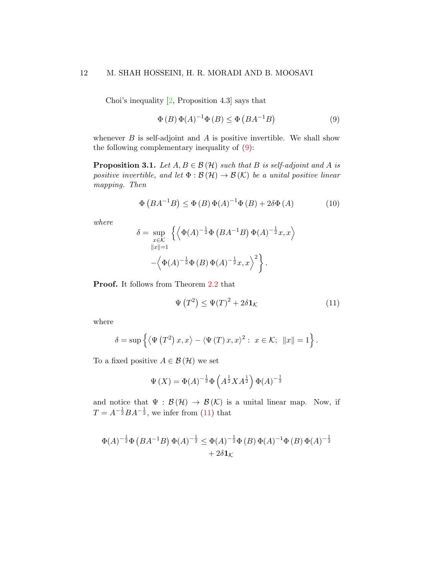Choi's inequality [\[2,](#page-13-6) Proposition 4.3] says that

<span id="page-11-0"></span>
$$
\Phi(B)\,\Phi(A)^{-1}\Phi(B) \le \Phi\left(BA^{-1}B\right) \tag{9}
$$

whenever  $B$  is self-adjoint and  $A$  is positive invertible. We shall show the following complementary inequality of [\(9\)](#page-11-0):

<span id="page-11-3"></span>**Proposition 3.1.** Let  $A, B \in \mathcal{B}(\mathcal{H})$  such that B is self-adjoint and A is positive invertible, and let  $\Phi : \mathcal{B}(\mathcal{H}) \to \mathcal{B}(\mathcal{K})$  be a unital positive linear mapping. Then

<span id="page-11-2"></span>
$$
\Phi\left(BA^{-1}B\right) \le \Phi\left(B\right)\Phi\left(A\right)^{-1}\Phi\left(B\right) + 2\delta\Phi\left(A\right) \tag{10}
$$

where

$$
\delta = \sup_{x \in \mathcal{K}} \left\{ \left\langle \Phi(A)^{-\frac{1}{2}} \Phi(BA^{-1}B) \Phi(A)^{-\frac{1}{2}} x, x \right\rangle \right. \\ \left. - \left\langle \Phi(A)^{-\frac{1}{2}} \Phi(B) \Phi(A)^{-\frac{1}{2}} x, x \right\rangle^2 \right\}.
$$

Proof. It follows from Theorem [2.2](#page-5-0) that

<span id="page-11-1"></span>
$$
\Psi\left(T^2\right) \le \Psi(T)^2 + 2\delta \mathbf{1}_{\mathcal{K}} \tag{11}
$$

where

$$
\delta = \sup \left\{ \langle \Psi \left( T^2 \right) x, x \rangle - \langle \Psi \left( T \right) x, x \rangle^2 : x \in \mathcal{K}; \ \|x\| = 1 \right\}.
$$

To a fixed positive  $A \in \mathcal{B}(\mathcal{H})$  we set

$$
\Psi(X) = \Phi(A)^{-\frac{1}{2}} \Phi\left(A^{\frac{1}{2}} X A^{\frac{1}{2}}\right) \Phi(A)^{-\frac{1}{2}}
$$

and notice that  $\Psi : \mathcal{B}(\mathcal{H}) \to \mathcal{B}(\mathcal{K})$  is a unital linear map. Now, if  $T = A^{-\frac{1}{2}}BA^{-\frac{1}{2}}$ , we infer from [\(11\)](#page-11-1) that

$$
\Phi(A)^{-\frac{1}{2}}\Phi(BA^{-1}B)\Phi(A)^{-\frac{1}{2}} \leq \Phi(A)^{-\frac{1}{2}}\Phi(B)\Phi(A)^{-1}\Phi(B)\Phi(A)^{-\frac{1}{2}} + 2\delta\mathbf{1}_{\mathcal{K}}
$$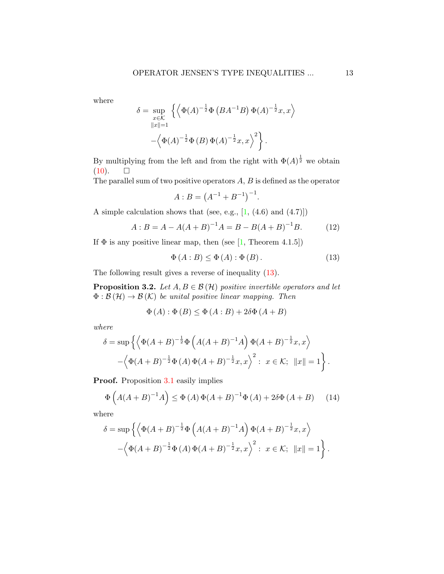where

$$
\delta = \sup_{x \in \mathcal{K}} \left\{ \left\langle \Phi(A)^{-\frac{1}{2}} \Phi(BA^{-1}B) \Phi(A)^{-\frac{1}{2}} x, x \right\rangle \right.\left\| x \right\| = 1-\left\langle \Phi(A)^{-\frac{1}{2}} \Phi(B) \Phi(A)^{-\frac{1}{2}} x, x \right\rangle^2 \right\}.
$$

By multiplying from the left and from the right with  $\Phi(A)^{\frac{1}{2}}$  we obtain  $(10). \square$  $(10). \square$ 

The parallel sum of two positive operators  $A, B$  is defined as the operator

$$
A:B = (A^{-1} + B^{-1})^{-1}.
$$

A simple calculation shows that (see, e.g.,  $[1, (4.6)$  $[1, (4.6)$  and  $(4.7)]$ )

<span id="page-12-1"></span>
$$
A: B = A - A(A + B)^{-1}A = B - B(A + B)^{-1}B.
$$
 (12)

If  $\Phi$  is any positive linear map, then (see [\[1,](#page-13-4) Theorem 4.1.5])

<span id="page-12-0"></span>
$$
\Phi(A:B) \le \Phi(A): \Phi(B). \tag{13}
$$

The following result gives a reverse of inequality [\(13\)](#page-12-0).

**Proposition 3.2.** Let  $A, B \in \mathcal{B}(\mathcal{H})$  positive invertible operators and let  $\Phi : \mathcal{B}(\mathcal{H}) \to \mathcal{B}(\mathcal{K})$  be unital positive linear mapping. Then

$$
\Phi(A) : \Phi(B) \le \Phi(A:B) + 2\delta\Phi(A+B)
$$

where

$$
\delta = \sup \left\{ \left\langle \Phi(A+B)^{-\frac{1}{2}} \Phi \left( A(A+B)^{-1} A \right) \Phi(A+B)^{-\frac{1}{2}} x, x \right\rangle \right. \\ \left. - \left\langle \Phi(A+B)^{-\frac{1}{2}} \Phi \left( A \right) \Phi(A+B)^{-\frac{1}{2}} x, x \right\rangle^2 : x \in \mathcal{K}; \ \|x\| = 1 \right\}.
$$

Proof. Proposition [3.1](#page-11-3) easily implies

<span id="page-12-2"></span>
$$
\Phi\left(A(A+B)^{-1}A\right) \le \Phi\left(A\right)\Phi(A+B)^{-1}\Phi\left(A\right) + 2\delta\Phi\left(A+B\right) \tag{14}
$$

where

$$
\delta = \sup \left\{ \left\langle \Phi(A+B)^{-\frac{1}{2}} \Phi \left( A(A+B)^{-1} A \right) \Phi(A+B)^{-\frac{1}{2}} x, x \right\rangle - \left\langle \Phi(A+B)^{-\frac{1}{2}} \Phi (A) \Phi(A+B)^{-\frac{1}{2}} x, x \right\rangle^2 : x \in \mathcal{K}; \ \|x\| = 1 \right\}.
$$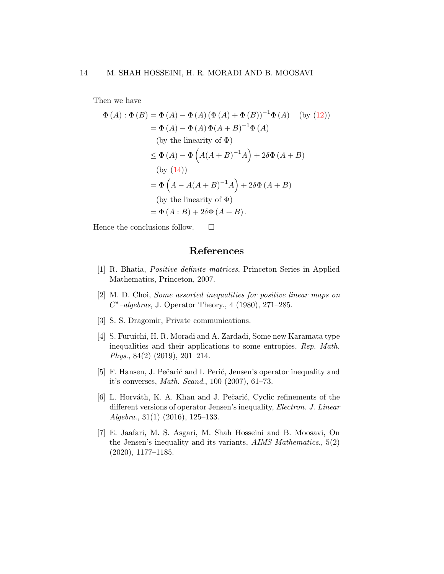Then we have

$$
\Phi(A) : \Phi(B) = \Phi(A) - \Phi(A) (\Phi(A) + \Phi(B))^{-1} \Phi(A) \quad \text{(by (12))}
$$
  
\n
$$
= \Phi(A) - \Phi(A) \Phi(A + B)^{-1} \Phi(A)
$$
  
\n
$$
\text{(by the linearity of } \Phi)
$$
  
\n
$$
\leq \Phi(A) - \Phi(A(A + B)^{-1}A) + 2\delta\Phi(A + B)
$$
  
\n
$$
\text{(by (14))}
$$
  
\n
$$
= \Phi(A - A(A + B)^{-1}A) + 2\delta\Phi(A + B)
$$
  
\n
$$
\text{(by the linearity of } \Phi)
$$
  
\n
$$
= \Phi(A : B) + 2\delta\Phi(A + B).
$$

Hence the conclusions follow.  $\square$ 

## References

- <span id="page-13-4"></span>[1] R. Bhatia, Positive definite matrices, Princeton Series in Applied Mathematics, Princeton, 2007.
- <span id="page-13-6"></span>[2] M. D. Choi, Some assorted inequalities for positive linear maps on C <sup>∗</sup>–algebras, J. Operator Theory., 4 (1980), 271–285.
- <span id="page-13-3"></span>[3] S. S. Dragomir, Private communications.
- <span id="page-13-1"></span>[4] S. Furuichi, H. R. Moradi and A. Zardadi, Some new Karamata type inequalities and their applications to some entropies, Rep. Math. Phys., 84(2) (2019), 201–214.
- <span id="page-13-0"></span>[5] F. Hansen, J. Pečarić and I. Perić, Jensen's operator inequality and it's converses, Math. Scand., 100 (2007), 61–73.
- <span id="page-13-2"></span>[6] L. Horváth, K. A. Khan and J. Pečarić, Cyclic refinements of the different versions of operator Jensen's inequality, *Electron. J. Linear*  $Algebra., 31(1)$   $(2016), 125-133.$
- <span id="page-13-5"></span>[7] E. Jaafari, M. S. Asgari, M. Shah Hosseini and B. Moosavi, On the Jensen's inequality and its variants, AIMS Mathematics., 5(2) (2020), 1177–1185.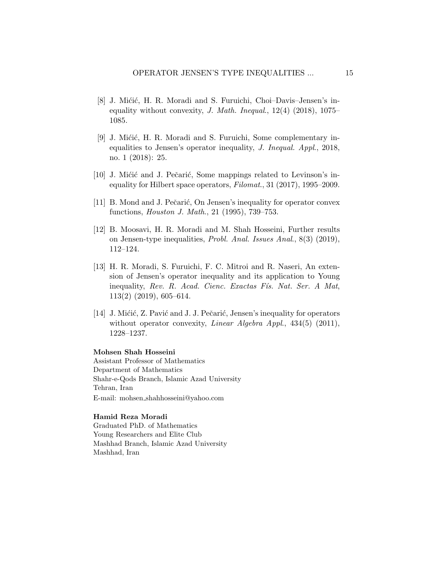- <span id="page-14-0"></span>[8] J. Mićić, H. R. Moradi and S. Furuichi, Choi–Davis–Jensen's inequality without convexity, *J. Math. Inequal.*,  $12(4)$   $(2018)$ ,  $1075-$ 1085.
- <span id="page-14-1"></span>[9] J. Mićić, H. R. Moradi and S. Furuichi, Some complementary inequalities to Jensen's operator inequality, J. Inequal. Appl., 2018, no. 1 (2018): 25.
- <span id="page-14-2"></span>[10] J. Mićić and J. Pečarić, Some mappings related to Levinson's inequality for Hilbert space operators, Filomat., 31 (2017), 1995–2009.
- <span id="page-14-6"></span>[11] B. Mond and J. Pečarić, On Jensen's inequality for operator convex functions, Houston J. Math., 21 (1995), 739–753.
- <span id="page-14-3"></span>[12] B. Moosavi, H. R. Moradi and M. Shah Hosseini, Further results on Jensen-type inequalities, Probl. Anal. Issues Anal., 8(3) (2019), 112–124.
- <span id="page-14-4"></span>[13] H. R. Moradi, S. Furuichi, F. C. Mitroi and R. Naseri, An extension of Jensen's operator inequality and its application to Young inequality, Rev. R. Acad. Cienc. Exactas Fís. Nat. Ser. A Mat, 113(2) (2019), 605–614.
- <span id="page-14-5"></span>[14] J. Mićić, Z. Pavić and J. J. Pečarić, Jensen's inequality for operators without operator convexity, *Linear Algebra Appl.*, 434(5) (2011), 1228–1237.

#### Mohsen Shah Hosseini

Assistant Professor of Mathematics Department of Mathematics Shahr-e-Qods Branch, Islamic Azad University Tehran, Iran E-mail: mohsen shahhosseini@yahoo.com

#### Hamid Reza Moradi

Graduated PhD. of Mathematics Young Researchers and Elite Club Mashhad Branch, Islamic Azad University Mashhad, Iran